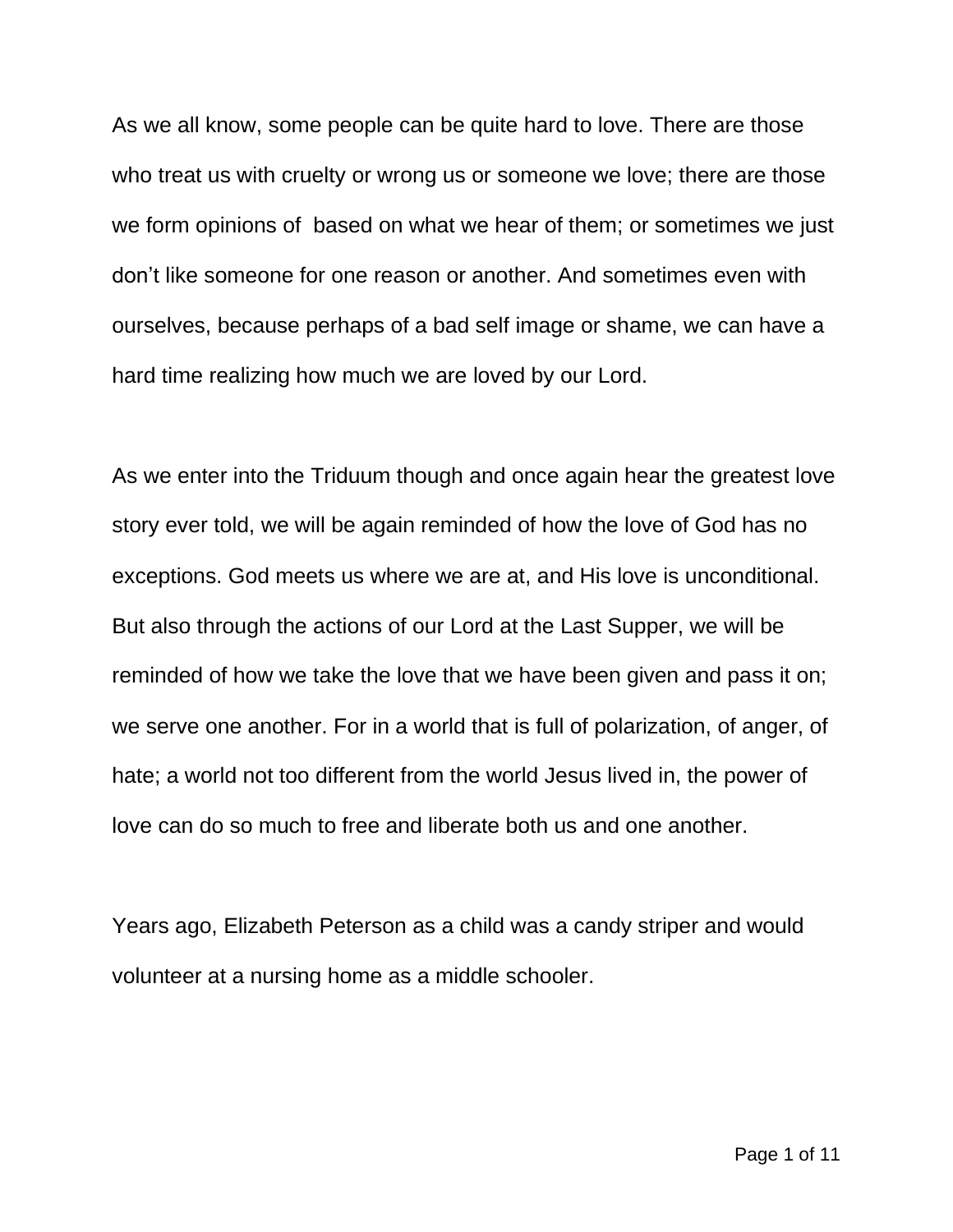As we all know, some people can be quite hard to love. There are those who treat us with cruelty or wrong us or someone we love; there are those we form opinions of based on what we hear of them; or sometimes we just don't like someone for one reason or another. And sometimes even with ourselves, because perhaps of a bad self image or shame, we can have a hard time realizing how much we are loved by our Lord.

As we enter into the Triduum though and once again hear the greatest love story ever told, we will be again reminded of how the love of God has no exceptions. God meets us where we are at, and His love is unconditional. But also through the actions of our Lord at the Last Supper, we will be reminded of how we take the love that we have been given and pass it on; we serve one another. For in a world that is full of polarization, of anger, of hate; a world not too different from the world Jesus lived in, the power of love can do so much to free and liberate both us and one another.

Years ago, Elizabeth Peterson as a child was a candy striper and would volunteer at a nursing home as a middle schooler.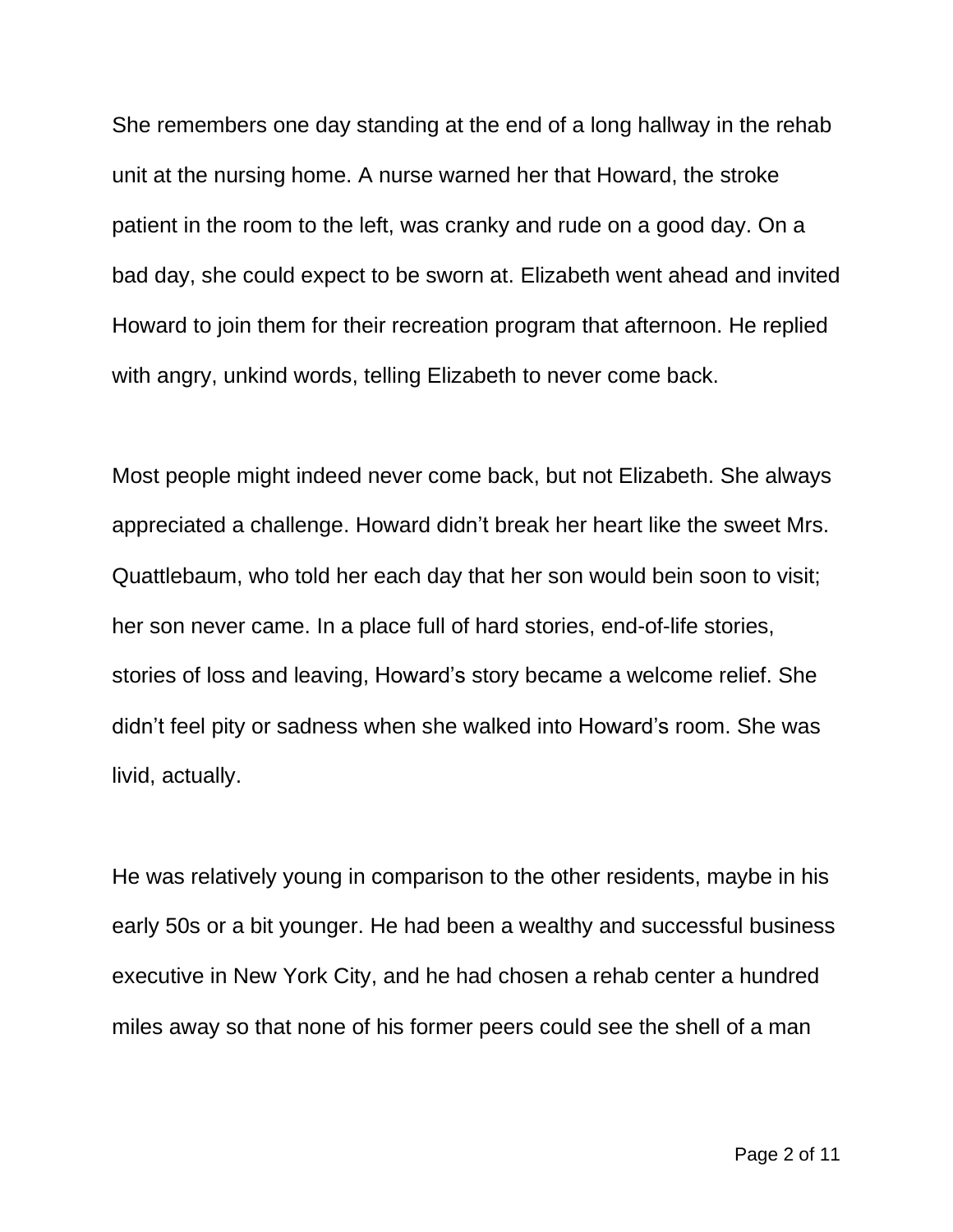She remembers one day standing at the end of a long hallway in the rehab unit at the nursing home. A nurse warned her that Howard, the stroke patient in the room to the left, was cranky and rude on a good day. On a bad day, she could expect to be sworn at. Elizabeth went ahead and invited Howard to join them for their recreation program that afternoon. He replied with angry, unkind words, telling Elizabeth to never come back.

Most people might indeed never come back, but not Elizabeth. She always appreciated a challenge. Howard didn't break her heart like the sweet Mrs. Quattlebaum, who told her each day that her son would bein soon to visit; her son never came. In a place full of hard stories, end-of-life stories, stories of loss and leaving, Howard's story became a welcome relief. She didn't feel pity or sadness when she walked into Howard's room. She was livid, actually.

He was relatively young in comparison to the other residents, maybe in his early 50s or a bit younger. He had been a wealthy and successful business executive in New York City, and he had chosen a rehab center a hundred miles away so that none of his former peers could see the shell of a man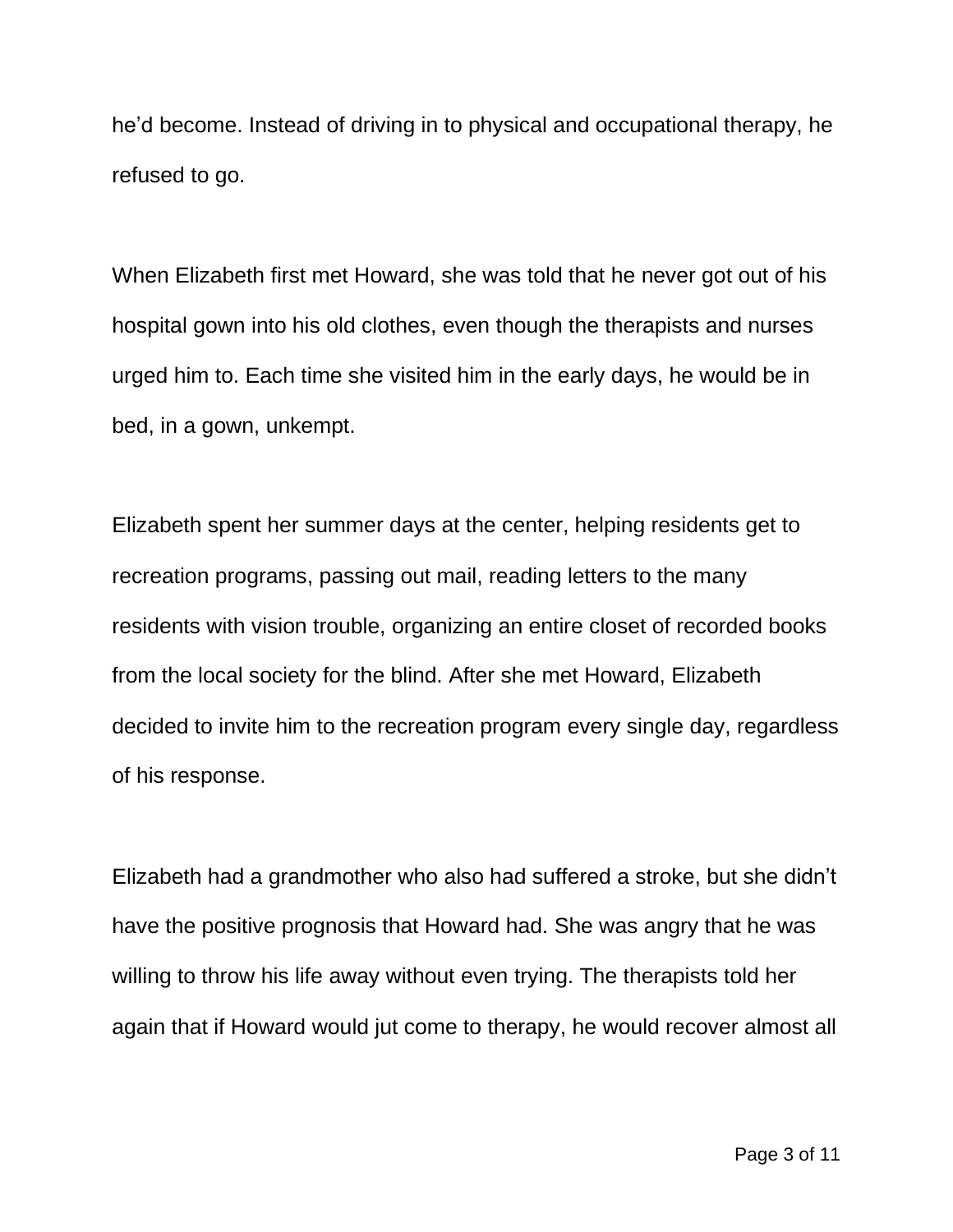he'd become. Instead of driving in to physical and occupational therapy, he refused to go.

When Elizabeth first met Howard, she was told that he never got out of his hospital gown into his old clothes, even though the therapists and nurses urged him to. Each time she visited him in the early days, he would be in bed, in a gown, unkempt.

Elizabeth spent her summer days at the center, helping residents get to recreation programs, passing out mail, reading letters to the many residents with vision trouble, organizing an entire closet of recorded books from the local society for the blind. After she met Howard, Elizabeth decided to invite him to the recreation program every single day, regardless of his response.

Elizabeth had a grandmother who also had suffered a stroke, but she didn't have the positive prognosis that Howard had. She was angry that he was willing to throw his life away without even trying. The therapists told her again that if Howard would jut come to therapy, he would recover almost all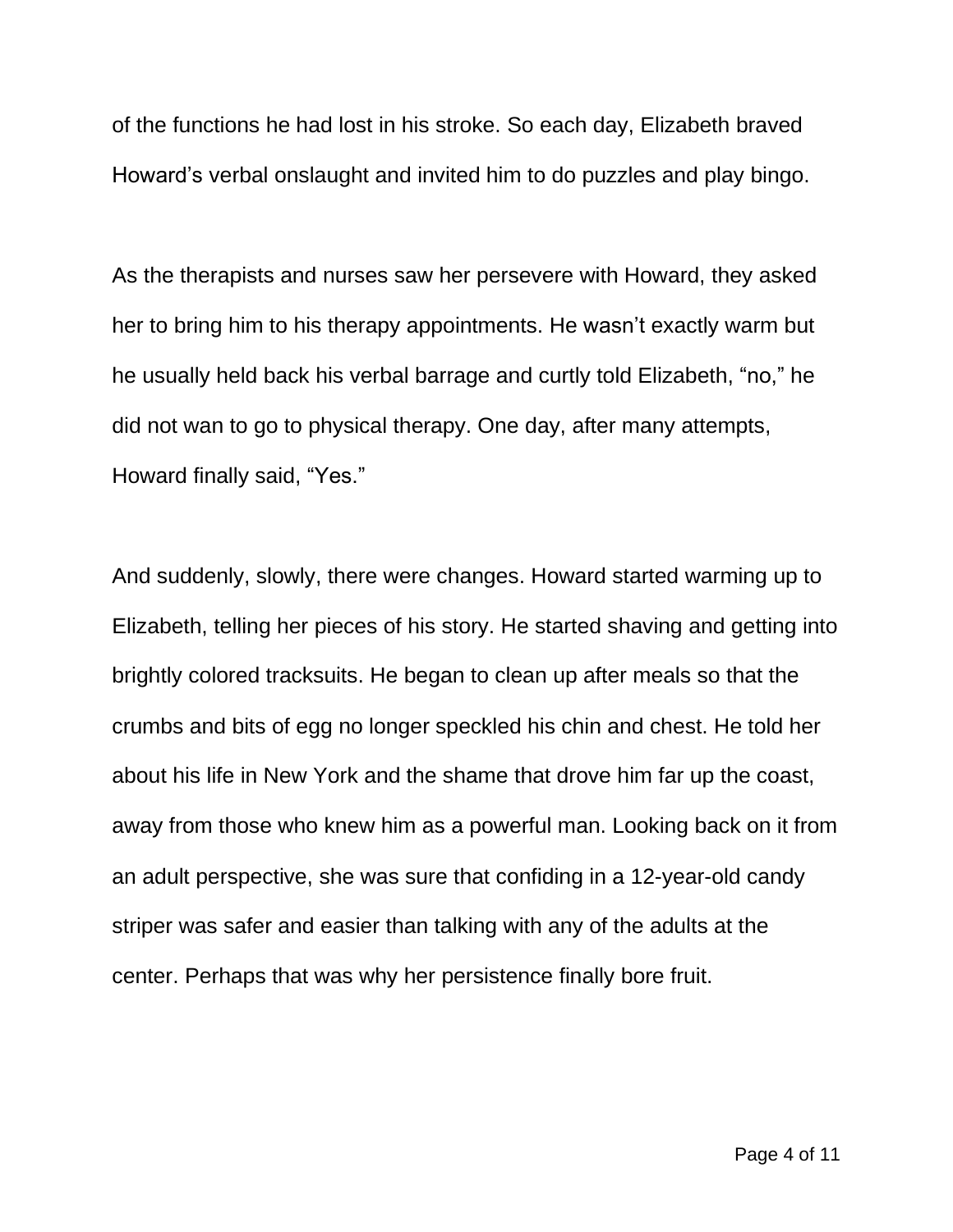of the functions he had lost in his stroke. So each day, Elizabeth braved Howard's verbal onslaught and invited him to do puzzles and play bingo.

As the therapists and nurses saw her persevere with Howard, they asked her to bring him to his therapy appointments. He wasn't exactly warm but he usually held back his verbal barrage and curtly told Elizabeth, "no," he did not wan to go to physical therapy. One day, after many attempts, Howard finally said, "Yes."

And suddenly, slowly, there were changes. Howard started warming up to Elizabeth, telling her pieces of his story. He started shaving and getting into brightly colored tracksuits. He began to clean up after meals so that the crumbs and bits of egg no longer speckled his chin and chest. He told her about his life in New York and the shame that drove him far up the coast, away from those who knew him as a powerful man. Looking back on it from an adult perspective, she was sure that confiding in a 12-year-old candy striper was safer and easier than talking with any of the adults at the center. Perhaps that was why her persistence finally bore fruit.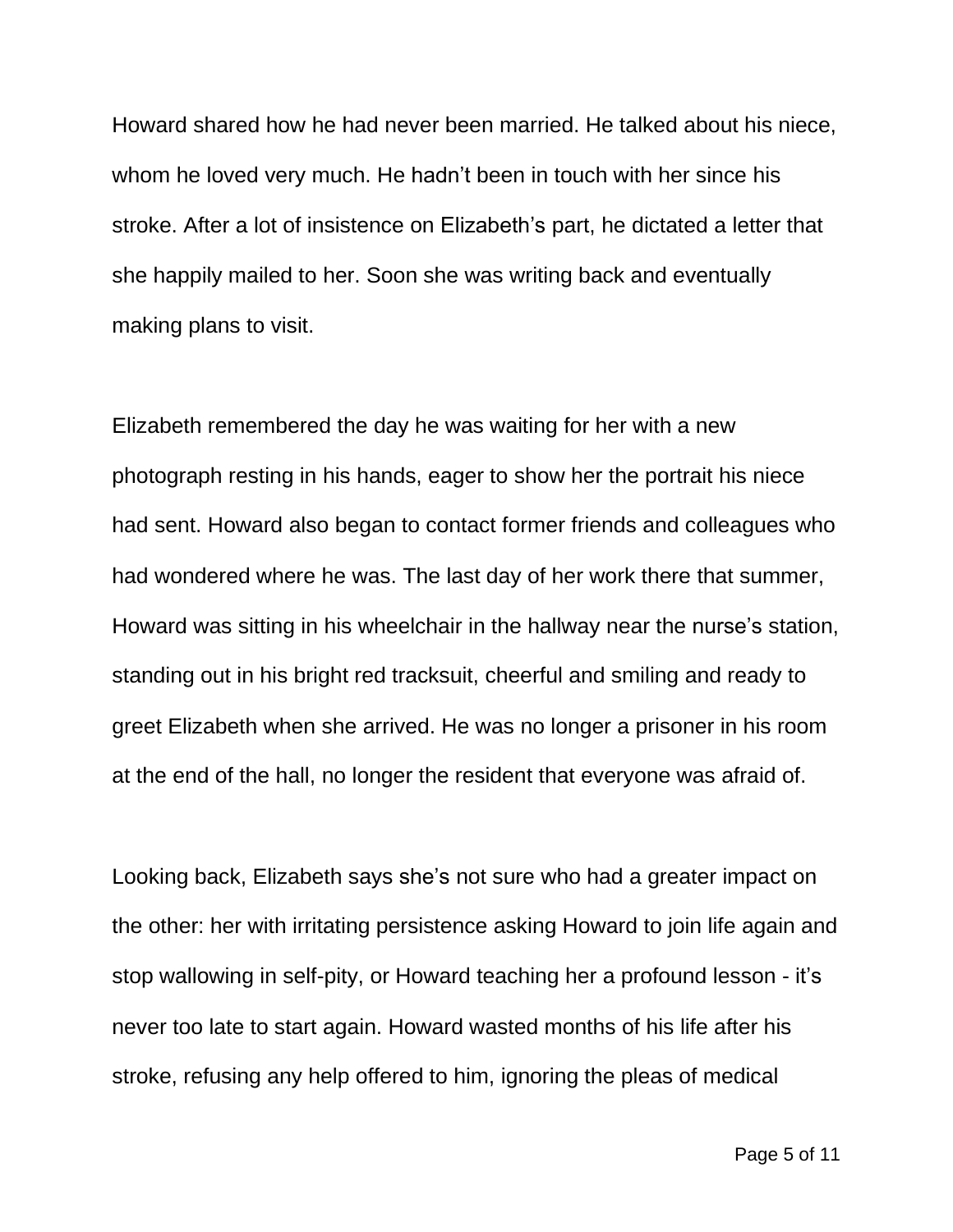Howard shared how he had never been married. He talked about his niece, whom he loved very much. He hadn't been in touch with her since his stroke. After a lot of insistence on Elizabeth's part, he dictated a letter that she happily mailed to her. Soon she was writing back and eventually making plans to visit.

Elizabeth remembered the day he was waiting for her with a new photograph resting in his hands, eager to show her the portrait his niece had sent. Howard also began to contact former friends and colleagues who had wondered where he was. The last day of her work there that summer, Howard was sitting in his wheelchair in the hallway near the nurse's station, standing out in his bright red tracksuit, cheerful and smiling and ready to greet Elizabeth when she arrived. He was no longer a prisoner in his room at the end of the hall, no longer the resident that everyone was afraid of.

Looking back, Elizabeth says she's not sure who had a greater impact on the other: her with irritating persistence asking Howard to join life again and stop wallowing in self-pity, or Howard teaching her a profound lesson - it's never too late to start again. Howard wasted months of his life after his stroke, refusing any help offered to him, ignoring the pleas of medical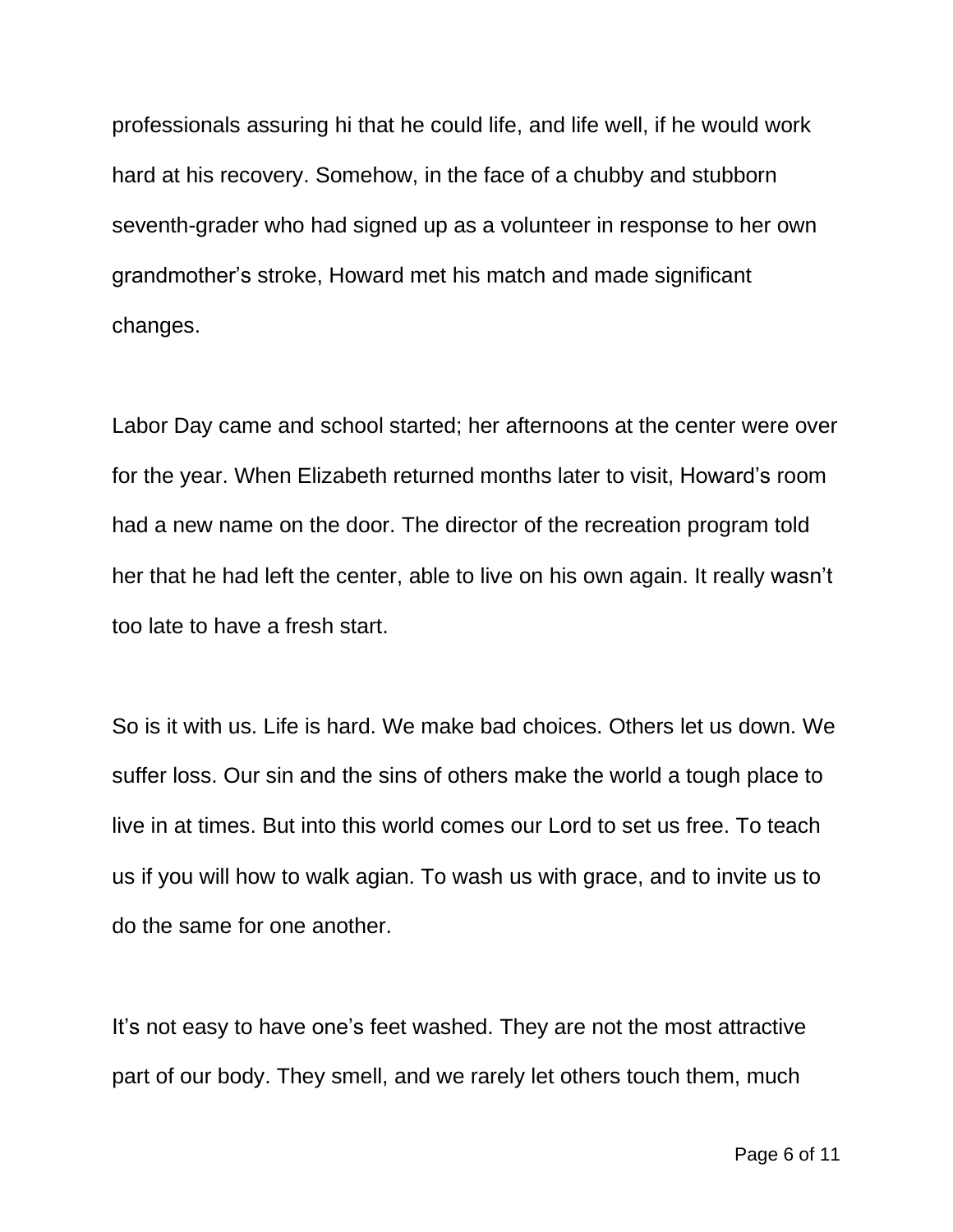professionals assuring hi that he could life, and life well, if he would work hard at his recovery. Somehow, in the face of a chubby and stubborn seventh-grader who had signed up as a volunteer in response to her own grandmother's stroke, Howard met his match and made significant changes.

Labor Day came and school started; her afternoons at the center were over for the year. When Elizabeth returned months later to visit, Howard's room had a new name on the door. The director of the recreation program told her that he had left the center, able to live on his own again. It really wasn't too late to have a fresh start.

So is it with us. Life is hard. We make bad choices. Others let us down. We suffer loss. Our sin and the sins of others make the world a tough place to live in at times. But into this world comes our Lord to set us free. To teach us if you will how to walk agian. To wash us with grace, and to invite us to do the same for one another.

It's not easy to have one's feet washed. They are not the most attractive part of our body. They smell, and we rarely let others touch them, much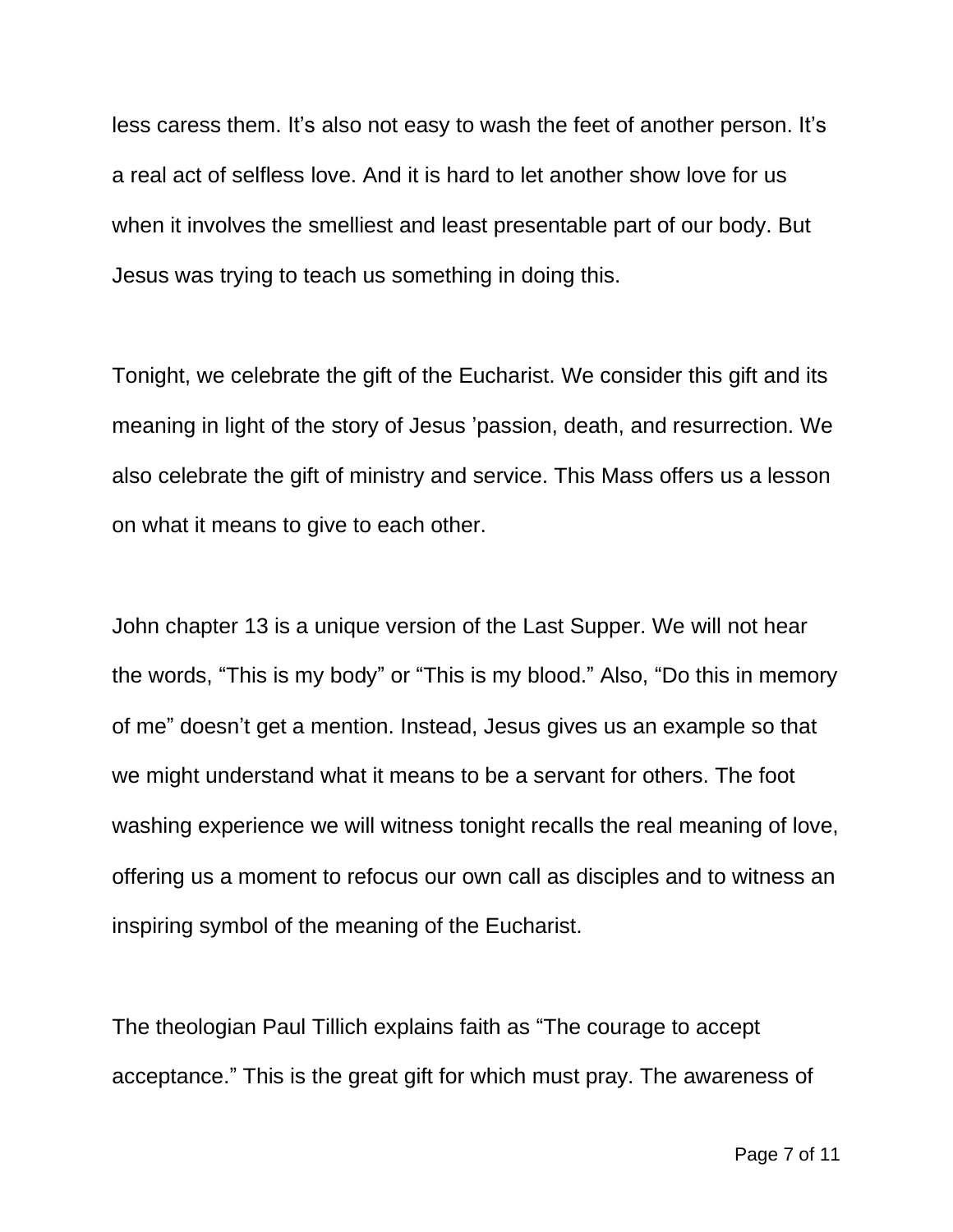less caress them. It's also not easy to wash the feet of another person. It's a real act of selfless love. And it is hard to let another show love for us when it involves the smelliest and least presentable part of our body. But Jesus was trying to teach us something in doing this.

Tonight, we celebrate the gift of the Eucharist. We consider this gift and its meaning in light of the story of Jesus 'passion, death, and resurrection. We also celebrate the gift of ministry and service. This Mass offers us a lesson on what it means to give to each other.

John chapter 13 is a unique version of the Last Supper. We will not hear the words, "This is my body" or "This is my blood." Also, "Do this in memory of me" doesn't get a mention. Instead, Jesus gives us an example so that we might understand what it means to be a servant for others. The foot washing experience we will witness tonight recalls the real meaning of love, offering us a moment to refocus our own call as disciples and to witness an inspiring symbol of the meaning of the Eucharist.

The theologian Paul Tillich explains faith as "The courage to accept acceptance." This is the great gift for which must pray. The awareness of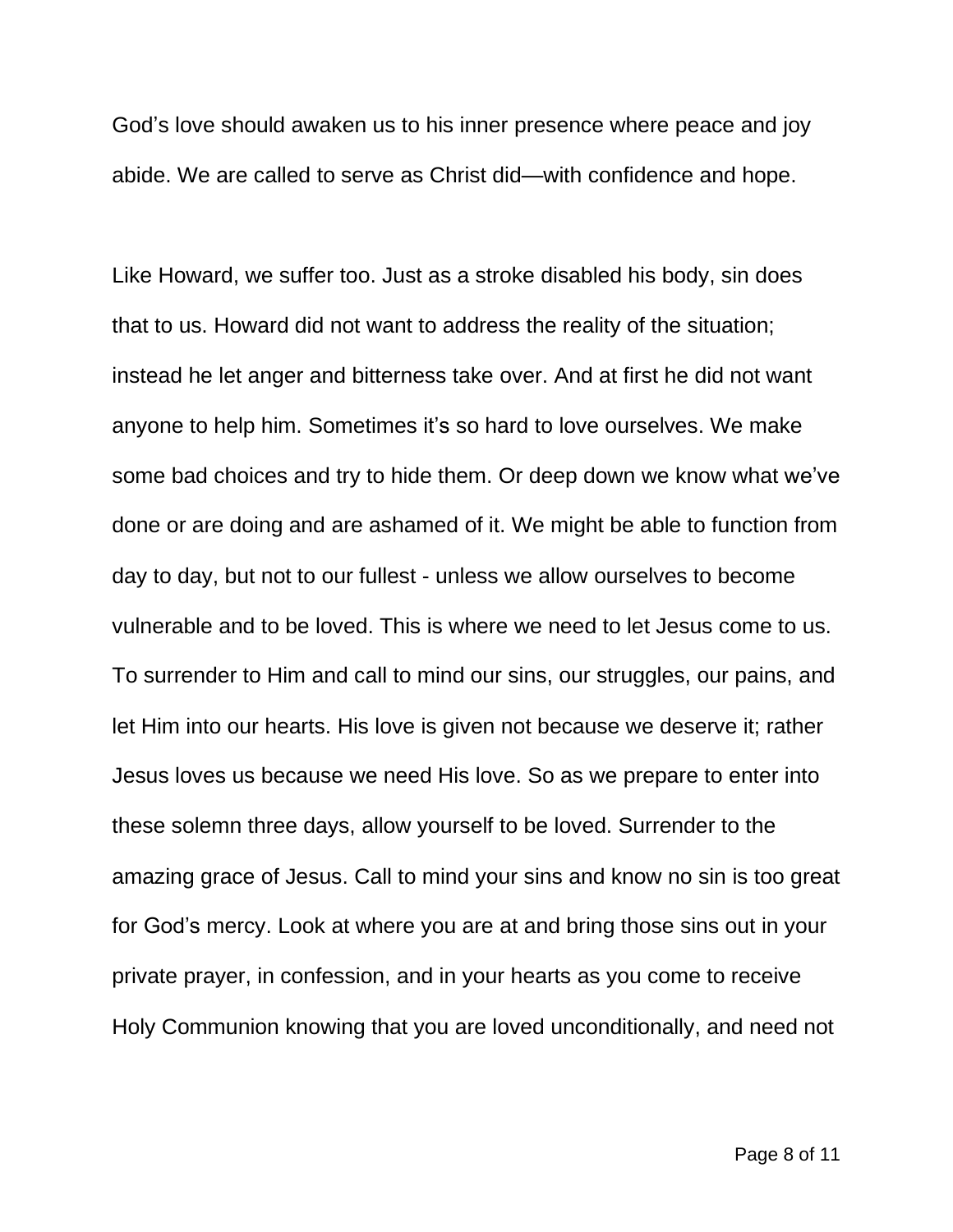God's love should awaken us to his inner presence where peace and joy abide. We are called to serve as Christ did—with confidence and hope.

Like Howard, we suffer too. Just as a stroke disabled his body, sin does that to us. Howard did not want to address the reality of the situation; instead he let anger and bitterness take over. And at first he did not want anyone to help him. Sometimes it's so hard to love ourselves. We make some bad choices and try to hide them. Or deep down we know what we've done or are doing and are ashamed of it. We might be able to function from day to day, but not to our fullest - unless we allow ourselves to become vulnerable and to be loved. This is where we need to let Jesus come to us. To surrender to Him and call to mind our sins, our struggles, our pains, and let Him into our hearts. His love is given not because we deserve it; rather Jesus loves us because we need His love. So as we prepare to enter into these solemn three days, allow yourself to be loved. Surrender to the amazing grace of Jesus. Call to mind your sins and know no sin is too great for God's mercy. Look at where you are at and bring those sins out in your private prayer, in confession, and in your hearts as you come to receive Holy Communion knowing that you are loved unconditionally, and need not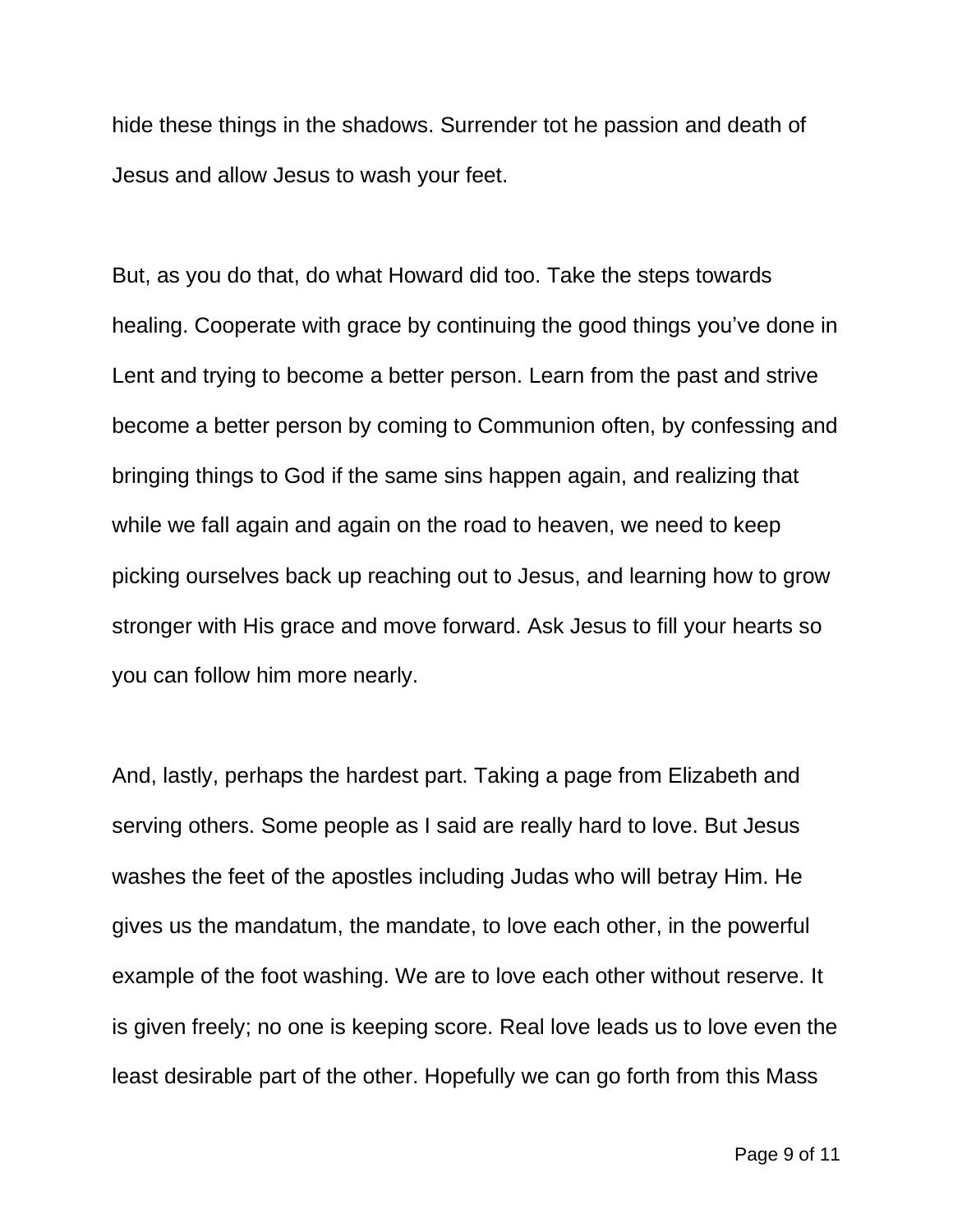hide these things in the shadows. Surrender tot he passion and death of Jesus and allow Jesus to wash your feet.

But, as you do that, do what Howard did too. Take the steps towards healing. Cooperate with grace by continuing the good things you've done in Lent and trying to become a better person. Learn from the past and strive become a better person by coming to Communion often, by confessing and bringing things to God if the same sins happen again, and realizing that while we fall again and again on the road to heaven, we need to keep picking ourselves back up reaching out to Jesus, and learning how to grow stronger with His grace and move forward. Ask Jesus to fill your hearts so you can follow him more nearly.

And, lastly, perhaps the hardest part. Taking a page from Elizabeth and serving others. Some people as I said are really hard to love. But Jesus washes the feet of the apostles including Judas who will betray Him. He gives us the mandatum, the mandate, to love each other, in the powerful example of the foot washing. We are to love each other without reserve. It is given freely; no one is keeping score. Real love leads us to love even the least desirable part of the other. Hopefully we can go forth from this Mass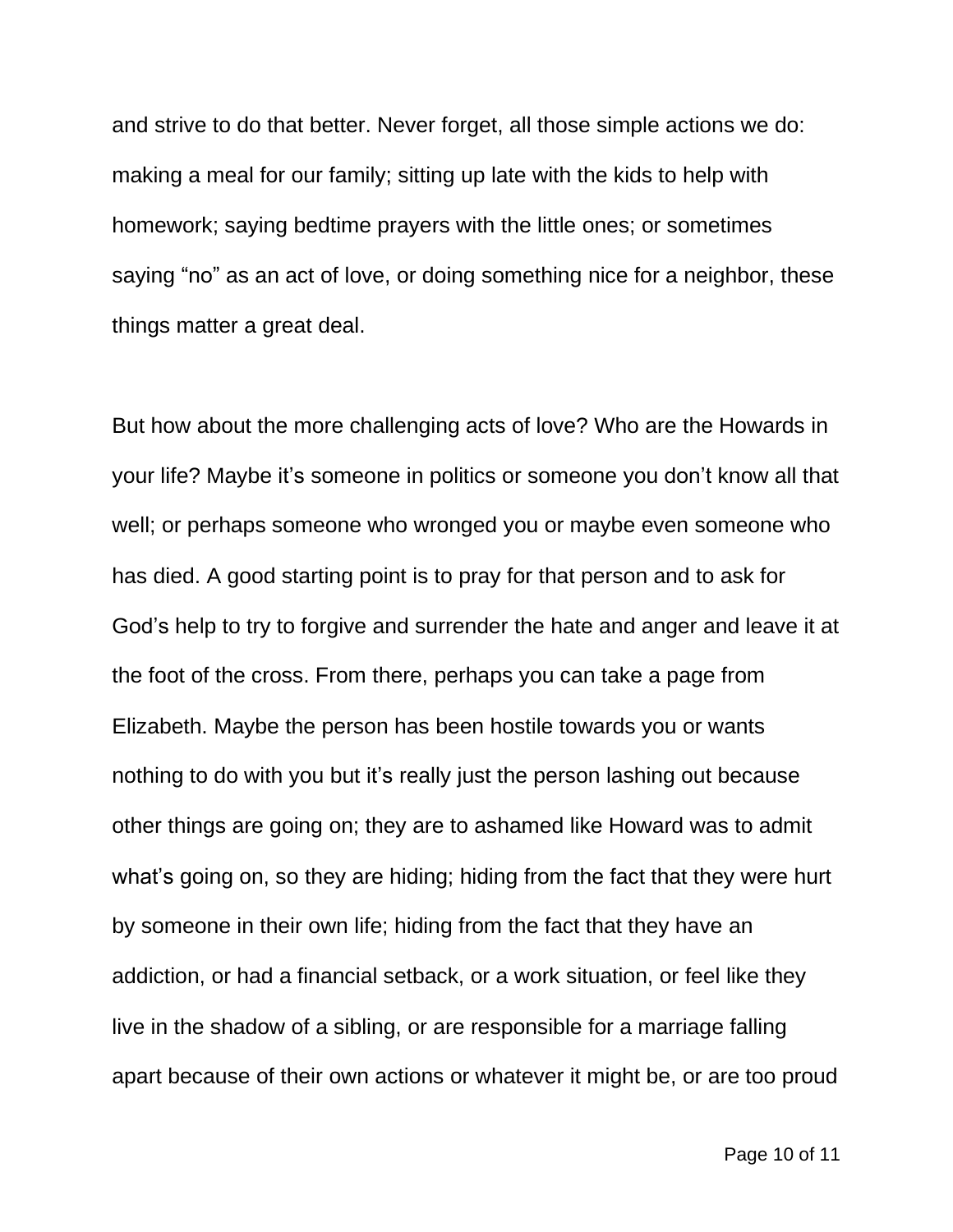and strive to do that better. Never forget, all those simple actions we do: making a meal for our family; sitting up late with the kids to help with homework; saying bedtime prayers with the little ones; or sometimes saying "no" as an act of love, or doing something nice for a neighbor, these things matter a great deal.

But how about the more challenging acts of love? Who are the Howards in your life? Maybe it's someone in politics or someone you don't know all that well; or perhaps someone who wronged you or maybe even someone who has died. A good starting point is to pray for that person and to ask for God's help to try to forgive and surrender the hate and anger and leave it at the foot of the cross. From there, perhaps you can take a page from Elizabeth. Maybe the person has been hostile towards you or wants nothing to do with you but it's really just the person lashing out because other things are going on; they are to ashamed like Howard was to admit what's going on, so they are hiding; hiding from the fact that they were hurt by someone in their own life; hiding from the fact that they have an addiction, or had a financial setback, or a work situation, or feel like they live in the shadow of a sibling, or are responsible for a marriage falling apart because of their own actions or whatever it might be, or are too proud